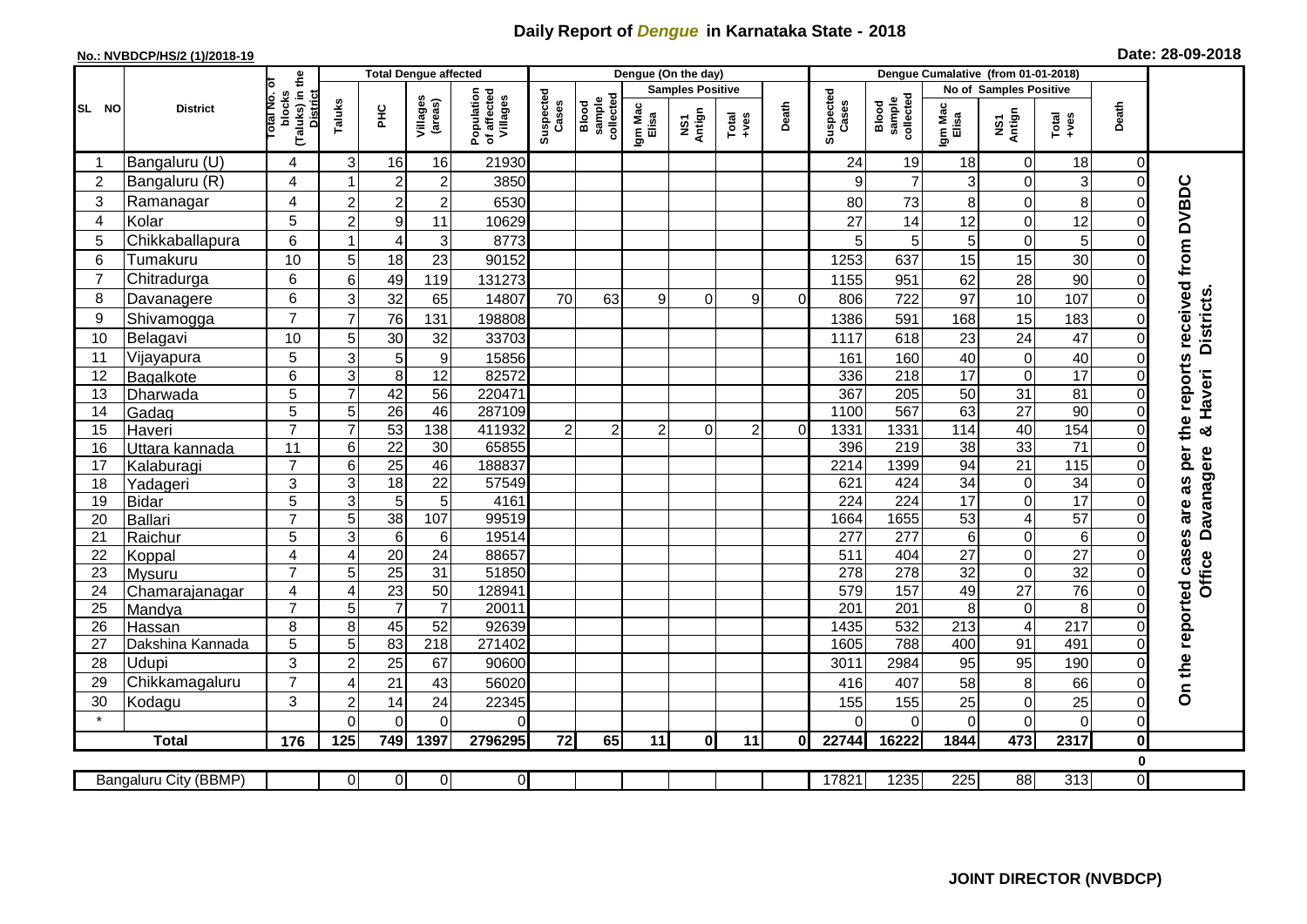## **Daily Report of** *Dengue* **in Karnataka State - 2018**

## **No.: NVBDCP/HS/2 (1)/2018-19 Date: 28-09-2018**

|                                                                                                                                                    | <b>District</b>          |                                                           | <b>Total Dengue affected</b> |                       |                       |                                       |                             |                     |                         | Dengue (On the day)             |                                                                      |          |                    |                              |                        |                                        |                       |                            |                                                                  |
|----------------------------------------------------------------------------------------------------------------------------------------------------|--------------------------|-----------------------------------------------------------|------------------------------|-----------------------|-----------------------|---------------------------------------|-----------------------------|---------------------|-------------------------|---------------------------------|----------------------------------------------------------------------|----------|--------------------|------------------------------|------------------------|----------------------------------------|-----------------------|----------------------------|------------------------------------------------------------------|
| SL NO                                                                                                                                              |                          | Гō                                                        |                              |                       |                       | Population<br>of affected<br>Villages | Suspected<br>Cases<br>Blood |                     | <b>Samples Positive</b> |                                 |                                                                      |          |                    |                              | No of Samples Positive |                                        |                       |                            |                                                                  |
|                                                                                                                                                    |                          | (Taluks) in the<br>Total No.<br>blocks<br><b>District</b> | Taluks                       | 울                     | Villages<br>(areas)   |                                       |                             | sample<br>collected | Igm Mac<br>Elisa        | Antign<br>$\overline{\text{S}}$ | $\begin{array}{c}\n\text{Total} \\ \text{1} & \text{1}\n\end{array}$ | Death    | Suspected<br>Cases | collected<br>sample<br>Blood | Igm Mac<br>Elisa       | NS1<br>Antign                          | $Tota$<br>$+ves$      | Death                      |                                                                  |
|                                                                                                                                                    | Bangaluru (U)            | 4                                                         | 3                            | 16                    | 16                    | 21930                                 |                             |                     |                         |                                 |                                                                      |          | 24                 | 19                           | 18                     | $\mathbf 0$                            | 18                    | $\overline{0}$             |                                                                  |
| $\overline{2}$                                                                                                                                     | Bangaluru (R)            | 4                                                         |                              | $\overline{2}$        | $\overline{c}$        | 3850                                  |                             |                     |                         |                                 |                                                                      |          | 9                  | $\overline{7}$               | 3                      | $\mathbf 0$                            | 3                     | $\mathbf 0$                |                                                                  |
| 3                                                                                                                                                  | Ramanagar                | 4                                                         | $\overline{2}$               | $\overline{c}$        | $\overline{c}$        | 6530                                  |                             |                     |                         |                                 |                                                                      |          | 80                 | 73                           | 8                      | $\mathbf 0$                            | 8                     | 0                          |                                                                  |
| 4                                                                                                                                                  | Kolar                    | 5                                                         | $\overline{c}$               | 9                     | 11                    | 10629                                 |                             |                     |                         |                                 |                                                                      |          | 27                 | 14                           | 12                     | $\overline{0}$                         | 12                    | $\mathbf 0$                |                                                                  |
| 5                                                                                                                                                  | Chikkaballapura          | 6                                                         |                              | $\overline{4}$        | 3                     | 8773                                  |                             |                     |                         |                                 |                                                                      |          | 5                  | 5                            | 5                      | $\mathbf 0$                            | 5                     | $\mathbf 0$                |                                                                  |
| 6                                                                                                                                                  | Tumakuru                 | 10                                                        | 5                            | 18                    | 23                    | 90152                                 |                             |                     |                         |                                 |                                                                      |          | 1253               | 637                          | 15                     | 15                                     | 30                    | $\overline{0}$             |                                                                  |
| 7                                                                                                                                                  | Chitradurga              | 6                                                         | 6                            | 49                    | 119                   | 131273                                |                             |                     |                         |                                 |                                                                      |          | 1155               | 951                          | 62                     | 28                                     | 90                    | $\mathbf 0$                |                                                                  |
| 8                                                                                                                                                  | Davanagere               | 6                                                         | 3                            | 32                    | 65                    | 14807                                 | 70                          | 63                  | 9                       | 0                               | 9                                                                    | $\Omega$ | 806                | 722                          | 97                     | 10                                     | 107                   | $\mathbf 0$                | <b>Districts</b>                                                 |
| 9                                                                                                                                                  | Shivamogga               | $\overline{7}$                                            | $\overline{7}$               | 76                    | 131                   | 198808                                |                             |                     |                         |                                 |                                                                      |          | 1386               | 591                          | 168                    | 15                                     | 183                   | $\pmb{0}$                  |                                                                  |
| 10                                                                                                                                                 | Belagavi                 | 10                                                        | 5                            | 30                    | 32                    | 33703                                 |                             |                     |                         |                                 |                                                                      |          | 1117               | 618                          | 23                     | 24                                     | 47                    | $\mathsf{O}\xspace$        |                                                                  |
| 11                                                                                                                                                 | Vijayapura               | $\overline{5}$                                            | 3                            | 5                     | $\boldsymbol{9}$      | 15856                                 |                             |                     |                         |                                 |                                                                      |          | 161                | 160                          | 40                     | $\mathsf{O}\xspace$                    | 40                    | $\mathbf 0$                |                                                                  |
| 12                                                                                                                                                 | Bagalkote                | 6                                                         | 3                            | 8                     | 12                    | 82572                                 |                             |                     |                         |                                 |                                                                      |          | 336                | 218                          | $\overline{17}$        | $\pmb{0}$                              | $\overline{17}$       | 0                          |                                                                  |
| 13                                                                                                                                                 | Dharwada                 | 5                                                         | $\overline{7}$               | 42                    | $\overline{56}$       | 220471                                |                             |                     |                         |                                 |                                                                      |          | 367                | 205                          | 50                     | 31                                     | $\overline{81}$       | $\mathbf 0$                | Haveri                                                           |
| 14                                                                                                                                                 | Gadag                    | $\overline{5}$                                            | 5                            | 26                    | 46                    | 287109                                |                             |                     |                         |                                 |                                                                      |          | 1100               | 567                          | 63                     | 27                                     | 90                    | $\mathbf 0$                |                                                                  |
| 15                                                                                                                                                 | Haveri                   | $\overline{7}$                                            | $\overline{7}$               | 53                    | 138                   | 411932                                | $\overline{2}$              | $\overline{2}$      | $\overline{2}$          | $\Omega$                        | $\overline{2}$                                                       | $\Omega$ | 1331               | 1331                         | 114                    | 40                                     | 154                   | $\mathbf 0$                | න්                                                               |
| 16                                                                                                                                                 | Uttara kannada           | 11                                                        | 6                            | $\overline{22}$       | 30                    | 65855                                 |                             |                     |                         |                                 |                                                                      |          | 396                | 219                          | 38                     | 33                                     | $\overline{71}$       | $\mathbf 0$                |                                                                  |
| 17                                                                                                                                                 | Kalaburagi               | $\overline{7}$                                            | 6                            | $\overline{25}$       | 46                    | 188837                                |                             |                     |                         |                                 |                                                                      |          | 2214               | 1399                         | 94                     | $\overline{21}$                        | 115                   | $\mathbf 0$                | Davanagere                                                       |
| 18                                                                                                                                                 | Yadageri                 | 3                                                         | 3                            | 18                    | 22                    | 57549                                 |                             |                     |                         |                                 |                                                                      |          | 621                | 424                          | $\overline{34}$        | $\pmb{0}$                              | $\overline{34}$       | $\mathbf 0$                |                                                                  |
| 19                                                                                                                                                 | <b>Bidar</b>             | 5                                                         | 3                            | 5                     | 5                     | 4161                                  |                             |                     |                         |                                 |                                                                      |          | 224                | 224                          | $\overline{17}$        | $\overline{\mathsf{o}}$                | $\overline{17}$       | $\Omega$                   |                                                                  |
| 20                                                                                                                                                 | <b>Ballari</b>           | $\overline{7}$                                            | 5                            | 38                    | 107                   | 99519                                 |                             |                     |                         |                                 |                                                                      |          | 1664               | 1655                         | 53                     | $\overline{\mathbf{4}}$                | 57                    | 0                          |                                                                  |
| 21                                                                                                                                                 | Raichur                  | 5                                                         | 3                            | $6\phantom{1}6$       | 6                     | 19514                                 |                             |                     |                         |                                 |                                                                      |          | $\overline{277}$   | 277                          | $6\phantom{1}$         | $\pmb{0}$                              | 6                     | $\mathsf{O}\xspace$        |                                                                  |
| 22<br>23                                                                                                                                           | Koppal                   | 4<br>$\overline{7}$                                       | $\overline{4}$<br>5          | 20<br>$\overline{25}$ | 24<br>$\overline{31}$ | 88657<br>51850                        |                             |                     |                         |                                 |                                                                      |          | 511<br>278         | 404<br>278                   | $\overline{27}$<br>32  | $\mathbf 0$<br>$\overline{\mathsf{o}}$ | 27<br>$\overline{32}$ | $\mathbf 0$<br>$\mathbf 0$ | <b>Office</b>                                                    |
| 24                                                                                                                                                 | <b>Mysuru</b>            | $\overline{4}$                                            | $\overline{4}$               | 23                    | 50                    | 128941                                |                             |                     |                         |                                 |                                                                      |          | 579                | 157                          | 49                     | $\overline{27}$                        | 76                    | $\overline{\mathsf{o}}$    |                                                                  |
| 25                                                                                                                                                 | Chamarajanagar<br>Mandya | $\overline{7}$                                            | 5                            | $\overline{7}$        | $\overline{7}$        | 20011                                 |                             |                     |                         |                                 |                                                                      |          | 201                | 201                          | 8                      | $\mathbf 0$                            | 8                     | 0                          |                                                                  |
| 26                                                                                                                                                 | Hassan                   | 8                                                         | 8                            | 45                    | 52                    | 92639                                 |                             |                     |                         |                                 |                                                                      |          | 1435               | 532                          | 213                    | $\overline{4}$                         | $\overline{217}$      | $\mathsf{O}\xspace$        |                                                                  |
| 27                                                                                                                                                 | Dakshina Kannada         | 5                                                         | 5                            | 83                    | $\overline{218}$      | 271402                                |                             |                     |                         |                                 |                                                                      |          | 1605               | 788                          | 400                    | 91                                     | 491                   | $\mathbf 0$                |                                                                  |
| 28                                                                                                                                                 | Udupi                    | $\overline{3}$                                            | $\overline{2}$               | $\overline{25}$       | 67                    | 90600                                 |                             |                     |                         |                                 |                                                                      |          | 3011               | 2984                         | 95                     | 95                                     | 190                   | $\Omega$                   |                                                                  |
| 29                                                                                                                                                 | Chikkamagaluru           | $\overline{7}$                                            | $\boldsymbol{\Delta}$        | 21                    | 43                    | 56020                                 |                             |                     |                         |                                 |                                                                      |          | 416                | 407                          | 58                     | $\bf 8$                                | 66                    | $\mathbf 0$                | On the reported cases are as per the reports received from DVBDC |
| 30                                                                                                                                                 | Kodagu                   | 3                                                         | $\overline{2}$               | 14                    | 24                    | 22345                                 |                             |                     |                         |                                 |                                                                      |          | 155                | 155                          | 25                     | $\mathbf 0$                            | 25                    | $\pmb{0}$                  |                                                                  |
|                                                                                                                                                    |                          |                                                           | $\Omega$                     | $\overline{0}$        | $\overline{0}$        | 0                                     |                             |                     |                         |                                 |                                                                      |          | $\Omega$           | $\Omega$                     | $\Omega$               | $\overline{0}$                         | $\overline{0}$        | $\overline{0}$             |                                                                  |
|                                                                                                                                                    | <b>Total</b>             | 176                                                       | 125                          | 749                   | 1397                  | 2796295                               | 72                          | 65                  | 11                      | $\mathbf{0}$                    | 11                                                                   | 0l       | 22744              | 16222                        | 1844                   | 473                                    | 2317                  | $\pmb{0}$                  |                                                                  |
| $\mathbf 0$                                                                                                                                        |                          |                                                           |                              |                       |                       |                                       |                             |                     |                         |                                 |                                                                      |          |                    |                              |                        |                                        |                       |                            |                                                                  |
| $\overline{0}$<br>$\overline{0}$<br>$\overline{0}$<br>17821<br>1235<br>225<br>88<br>313<br>Bangaluru City (BBMP)<br><sup>0</sup><br>$\overline{0}$ |                          |                                                           |                              |                       |                       |                                       |                             |                     |                         |                                 |                                                                      |          |                    |                              |                        |                                        |                       |                            |                                                                  |